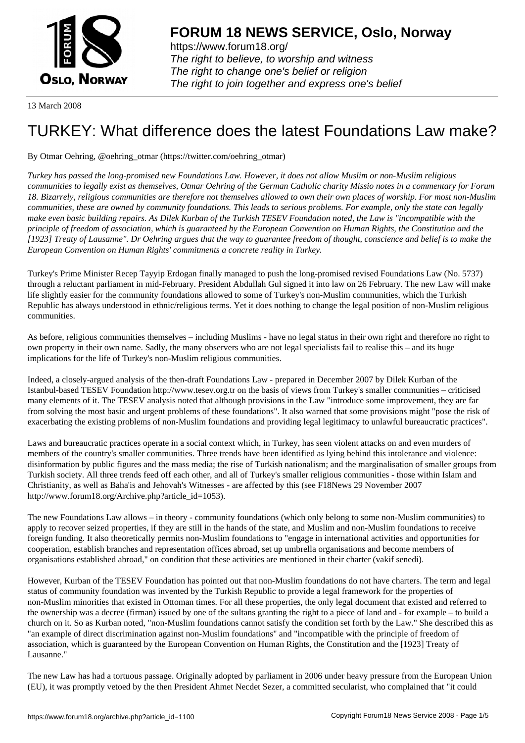

https://www.forum18.org/ The right to believe, to worship and witness The right to change one's belief or religion [The right to join together a](https://www.forum18.org/)nd express one's belief

13 March 2008

## [TURKEY: What](https://www.forum18.org) difference does the latest Foundations Law make?

By Otmar Oehring, @oehring\_otmar (https://twitter.com/oehring\_otmar)

*Turkey has passed the long-promised new Foundations Law. However, it does not allow Muslim or non-Muslim religious communities to legally exist as themselves, Otmar Oehring of the German Catholic charity Missio notes in a commentary for Forum 18. Bizarrely, religious communities are therefore not themselves allowed to own their own places of worship. For most non-Muslim communities, these are owned by community foundations. This leads to serious problems. For example, only the state can legally make even basic building repairs. As Dilek Kurban of the Turkish TESEV Foundation noted, the Law is "incompatible with the principle of freedom of association, which is guaranteed by the European Convention on Human Rights, the Constitution and the [1923] Treaty of Lausanne". Dr Oehring argues that the way to guarantee freedom of thought, conscience and belief is to make the European Convention on Human Rights' commitments a concrete reality in Turkey.*

Turkey's Prime Minister Recep Tayyip Erdogan finally managed to push the long-promised revised Foundations Law (No. 5737) through a reluctant parliament in mid-February. President Abdullah Gul signed it into law on 26 February. The new Law will make life slightly easier for the community foundations allowed to some of Turkey's non-Muslim communities, which the Turkish Republic has always understood in ethnic/religious terms. Yet it does nothing to change the legal position of non-Muslim religious communities.

As before, religious communities themselves – including Muslims - have no legal status in their own right and therefore no right to own property in their own name. Sadly, the many observers who are not legal specialists fail to realise this – and its huge implications for the life of Turkey's non-Muslim religious communities.

Indeed, a closely-argued analysis of the then-draft Foundations Law - prepared in December 2007 by Dilek Kurban of the Istanbul-based TESEV Foundation http://www.tesev.org.tr on the basis of views from Turkey's smaller communities – criticised many elements of it. The TESEV analysis noted that although provisions in the Law "introduce some improvement, they are far from solving the most basic and urgent problems of these foundations". It also warned that some provisions might "pose the risk of exacerbating the existing problems of non-Muslim foundations and providing legal legitimacy to unlawful bureaucratic practices".

Laws and bureaucratic practices operate in a social context which, in Turkey, has seen violent attacks on and even murders of members of the country's smaller communities. Three trends have been identified as lying behind this intolerance and violence: disinformation by public figures and the mass media; the rise of Turkish nationalism; and the marginalisation of smaller groups from Turkish society. All three trends feed off each other, and all of Turkey's smaller religious communities - those within Islam and Christianity, as well as Baha'is and Jehovah's Witnesses - are affected by this (see F18News 29 November 2007 http://www.forum18.org/Archive.php?article\_id=1053).

The new Foundations Law allows – in theory - community foundations (which only belong to some non-Muslim communities) to apply to recover seized properties, if they are still in the hands of the state, and Muslim and non-Muslim foundations to receive foreign funding. It also theoretically permits non-Muslim foundations to "engage in international activities and opportunities for cooperation, establish branches and representation offices abroad, set up umbrella organisations and become members of organisations established abroad," on condition that these activities are mentioned in their charter (vakif senedi).

However, Kurban of the TESEV Foundation has pointed out that non-Muslim foundations do not have charters. The term and legal status of community foundation was invented by the Turkish Republic to provide a legal framework for the properties of non-Muslim minorities that existed in Ottoman times. For all these properties, the only legal document that existed and referred to the ownership was a decree (firman) issued by one of the sultans granting the right to a piece of land and - for example – to build a church on it. So as Kurban noted, "non-Muslim foundations cannot satisfy the condition set forth by the Law." She described this as "an example of direct discrimination against non-Muslim foundations" and "incompatible with the principle of freedom of association, which is guaranteed by the European Convention on Human Rights, the Constitution and the [1923] Treaty of Lausanne."

The new Law has had a tortuous passage. Originally adopted by parliament in 2006 under heavy pressure from the European Union (EU), it was promptly vetoed by the then President Ahmet Necdet Sezer, a committed secularist, who complained that "it could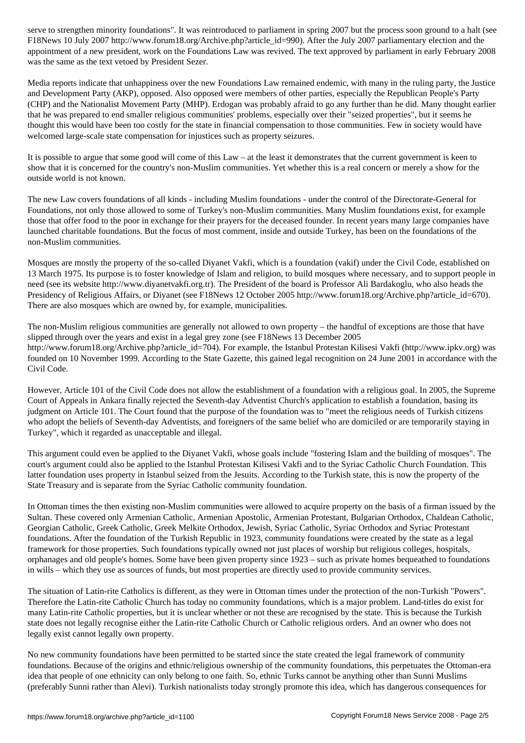Figure 10 July 2007 http://www.forumlarticle.com/article\_id=990). After the July 2007 paraticle  $\mu$ appointment of a new president, work on the Foundations Law was revived. The text approved by parliament in early February 2008 was the same as the text vetoed by President Sezer.

Media reports indicate that unhappiness over the new Foundations Law remained endemic, with many in the ruling party, the Justice and Development Party (AKP), opposed. Also opposed were members of other parties, especially the Republican People's Party (CHP) and the Nationalist Movement Party (MHP). Erdogan was probably afraid to go any further than he did. Many thought earlier that he was prepared to end smaller religious communities' problems, especially over their "seized properties", but it seems he thought this would have been too costly for the state in financial compensation to those communities. Few in society would have welcomed large-scale state compensation for injustices such as property seizures.

It is possible to argue that some good will come of this Law – at the least it demonstrates that the current government is keen to show that it is concerned for the country's non-Muslim communities. Yet whether this is a real concern or merely a show for the outside world is not known.

The new Law covers foundations of all kinds - including Muslim foundations - under the control of the Directorate-General for Foundations, not only those allowed to some of Turkey's non-Muslim communities. Many Muslim foundations exist, for example those that offer food to the poor in exchange for their prayers for the deceased founder. In recent years many large companies have launched charitable foundations. But the focus of most comment, inside and outside Turkey, has been on the foundations of the non-Muslim communities.

Mosques are mostly the property of the so-called Diyanet Vakfi, which is a foundation (vakif) under the Civil Code, established on 13 March 1975. Its purpose is to foster knowledge of Islam and religion, to build mosques where necessary, and to support people in need (see its website http://www.diyanetvakfi.org.tr). The President of the board is Professor Ali Bardakoglu, who also heads the Presidency of Religious Affairs, or Diyanet (see F18News 12 October 2005 http://www.forum18.org/Archive.php?article\_id=670). There are also mosques which are owned by, for example, municipalities.

The non-Muslim religious communities are generally not allowed to own property – the handful of exceptions are those that have slipped through over the years and exist in a legal grey zone (see F18News 13 December 2005 http://www.forum18.org/Archive.php?article\_id=704). For example, the Istanbul Protestan Kilisesi Vakfi (http://www.ipkv.org) was founded on 10 November 1999. According to the State Gazette, this gained legal recognition on 24 June 2001 in accordance with the Civil Code.

However, Article 101 of the Civil Code does not allow the establishment of a foundation with a religious goal. In 2005, the Supreme Court of Appeals in Ankara finally rejected the Seventh-day Adventist Church's application to establish a foundation, basing its judgment on Article 101. The Court found that the purpose of the foundation was to "meet the religious needs of Turkish citizens who adopt the beliefs of Seventh-day Adventists, and foreigners of the same belief who are domiciled or are temporarily staying in Turkey", which it regarded as unacceptable and illegal.

This argument could even be applied to the Diyanet Vakfi, whose goals include "fostering Islam and the building of mosques". The court's argument could also be applied to the Istanbul Protestan Kilisesi Vakfi and to the Syriac Catholic Church Foundation. This latter foundation uses property in Istanbul seized from the Jesuits. According to the Turkish state, this is now the property of the State Treasury and is separate from the Syriac Catholic community foundation.

In Ottoman times the then existing non-Muslim communities were allowed to acquire property on the basis of a firman issued by the Sultan. These covered only Armenian Catholic, Armenian Apostolic, Armenian Protestant, Bulgarian Orthodox, Chaldean Catholic, Georgian Catholic, Greek Catholic, Greek Melkite Orthodox, Jewish, Syriac Catholic, Syriac Orthodox and Syriac Protestant foundations. After the foundation of the Turkish Republic in 1923, community foundations were created by the state as a legal framework for those properties. Such foundations typically owned not just places of worship but religious colleges, hospitals, orphanages and old people's homes. Some have been given property since 1923 – such as private homes bequeathed to foundations in wills – which they use as sources of funds, but most properties are directly used to provide community services.

The situation of Latin-rite Catholics is different, as they were in Ottoman times under the protection of the non-Turkish "Powers". Therefore the Latin-rite Catholic Church has today no community foundations, which is a major problem. Land-titles do exist for many Latin-rite Catholic properties, but it is unclear whether or not these are recognised by the state. This is because the Turkish state does not legally recognise either the Latin-rite Catholic Church or Catholic religious orders. And an owner who does not legally exist cannot legally own property.

No new community foundations have been permitted to be started since the state created the legal framework of community foundations. Because of the origins and ethnic/religious ownership of the community foundations, this perpetuates the Ottoman-era idea that people of one ethnicity can only belong to one faith. So, ethnic Turks cannot be anything other than Sunni Muslims (preferably Sunni rather than Alevi). Turkish nationalists today strongly promote this idea, which has dangerous consequences for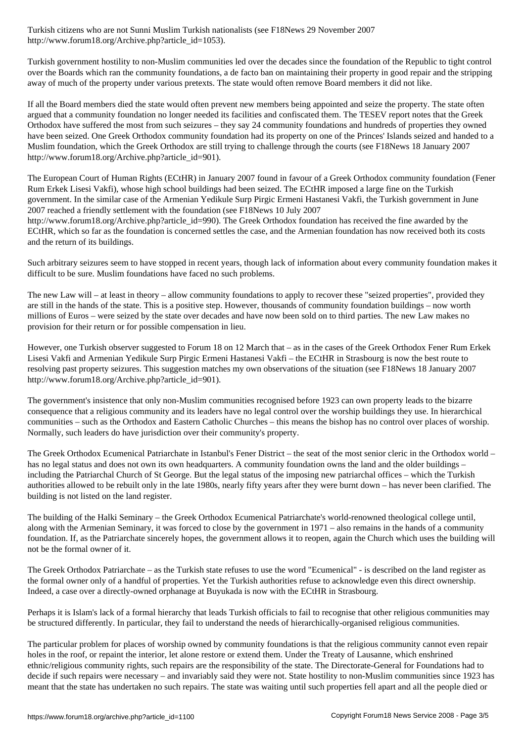http://www.forum18.org/Archive.php?article\_id=1053).

Turkish government hostility to non-Muslim communities led over the decades since the foundation of the Republic to tight control over the Boards which ran the community foundations, a de facto ban on maintaining their property in good repair and the stripping away of much of the property under various pretexts. The state would often remove Board members it did not like.

If all the Board members died the state would often prevent new members being appointed and seize the property. The state often argued that a community foundation no longer needed its facilities and confiscated them. The TESEV report notes that the Greek Orthodox have suffered the most from such seizures – they say 24 community foundations and hundreds of properties they owned have been seized. One Greek Orthodox community foundation had its property on one of the Princes' Islands seized and handed to a Muslim foundation, which the Greek Orthodox are still trying to challenge through the courts (see F18News 18 January 2007 http://www.forum18.org/Archive.php?article\_id=901).

The European Court of Human Rights (ECtHR) in January 2007 found in favour of a Greek Orthodox community foundation (Fener Rum Erkek Lisesi Vakfi), whose high school buildings had been seized. The ECtHR imposed a large fine on the Turkish government. In the similar case of the Armenian Yedikule Surp Pirgic Ermeni Hastanesi Vakfi, the Turkish government in June 2007 reached a friendly settlement with the foundation (see F18News 10 July 2007 http://www.forum18.org/Archive.php?article\_id=990). The Greek Orthodox foundation has received the fine awarded by the ECtHR, which so far as the foundation is concerned settles the case, and the Armenian foundation has now received both its costs and the return of its buildings.

Such arbitrary seizures seem to have stopped in recent years, though lack of information about every community foundation makes it difficult to be sure. Muslim foundations have faced no such problems.

The new Law will – at least in theory – allow community foundations to apply to recover these "seized properties", provided they are still in the hands of the state. This is a positive step. However, thousands of community foundation buildings – now worth millions of Euros – were seized by the state over decades and have now been sold on to third parties. The new Law makes no provision for their return or for possible compensation in lieu.

However, one Turkish observer suggested to Forum 18 on 12 March that – as in the cases of the Greek Orthodox Fener Rum Erkek Lisesi Vakfi and Armenian Yedikule Surp Pirgic Ermeni Hastanesi Vakfi – the ECtHR in Strasbourg is now the best route to resolving past property seizures. This suggestion matches my own observations of the situation (see F18News 18 January 2007 http://www.forum18.org/Archive.php?article\_id=901).

The government's insistence that only non-Muslim communities recognised before 1923 can own property leads to the bizarre consequence that a religious community and its leaders have no legal control over the worship buildings they use. In hierarchical communities – such as the Orthodox and Eastern Catholic Churches – this means the bishop has no control over places of worship. Normally, such leaders do have jurisdiction over their community's property.

The Greek Orthodox Ecumenical Patriarchate in Istanbul's Fener District – the seat of the most senior cleric in the Orthodox world – has no legal status and does not own its own headquarters. A community foundation owns the land and the older buildings – including the Patriarchal Church of St George. But the legal status of the imposing new patriarchal offices – which the Turkish authorities allowed to be rebuilt only in the late 1980s, nearly fifty years after they were burnt down – has never been clarified. The building is not listed on the land register.

The building of the Halki Seminary – the Greek Orthodox Ecumenical Patriarchate's world-renowned theological college until, along with the Armenian Seminary, it was forced to close by the government in 1971 – also remains in the hands of a community foundation. If, as the Patriarchate sincerely hopes, the government allows it to reopen, again the Church which uses the building will not be the formal owner of it.

The Greek Orthodox Patriarchate – as the Turkish state refuses to use the word "Ecumenical" - is described on the land register as the formal owner only of a handful of properties. Yet the Turkish authorities refuse to acknowledge even this direct ownership. Indeed, a case over a directly-owned orphanage at Buyukada is now with the ECtHR in Strasbourg.

Perhaps it is Islam's lack of a formal hierarchy that leads Turkish officials to fail to recognise that other religious communities may be structured differently. In particular, they fail to understand the needs of hierarchically-organised religious communities.

The particular problem for places of worship owned by community foundations is that the religious community cannot even repair holes in the roof, or repaint the interior, let alone restore or extend them. Under the Treaty of Lausanne, which enshrined ethnic/religious community rights, such repairs are the responsibility of the state. The Directorate-General for Foundations had to decide if such repairs were necessary – and invariably said they were not. State hostility to non-Muslim communities since 1923 has meant that the state has undertaken no such repairs. The state was waiting until such properties fell apart and all the people died or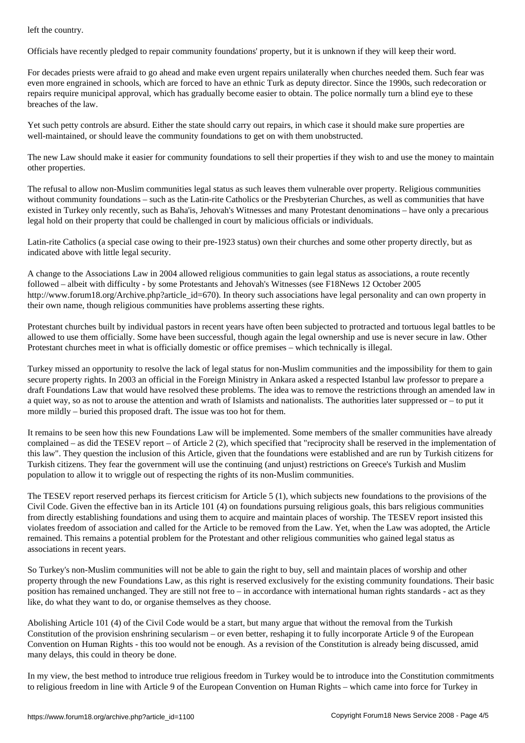Officials have recently pledged to repair community foundations' property, but it is unknown if they will keep their word.

For decades priests were afraid to go ahead and make even urgent repairs unilaterally when churches needed them. Such fear was even more engrained in schools, which are forced to have an ethnic Turk as deputy director. Since the 1990s, such redecoration or repairs require municipal approval, which has gradually become easier to obtain. The police normally turn a blind eye to these breaches of the law.

Yet such petty controls are absurd. Either the state should carry out repairs, in which case it should make sure properties are well-maintained, or should leave the community foundations to get on with them unobstructed.

The new Law should make it easier for community foundations to sell their properties if they wish to and use the money to maintain other properties.

The refusal to allow non-Muslim communities legal status as such leaves them vulnerable over property. Religious communities without community foundations – such as the Latin-rite Catholics or the Presbyterian Churches, as well as communities that have existed in Turkey only recently, such as Baha'is, Jehovah's Witnesses and many Protestant denominations – have only a precarious legal hold on their property that could be challenged in court by malicious officials or individuals.

Latin-rite Catholics (a special case owing to their pre-1923 status) own their churches and some other property directly, but as indicated above with little legal security.

A change to the Associations Law in 2004 allowed religious communities to gain legal status as associations, a route recently followed – albeit with difficulty - by some Protestants and Jehovah's Witnesses (see F18News 12 October 2005 http://www.forum18.org/Archive.php?article\_id=670). In theory such associations have legal personality and can own property in their own name, though religious communities have problems asserting these rights.

Protestant churches built by individual pastors in recent years have often been subjected to protracted and tortuous legal battles to be allowed to use them officially. Some have been successful, though again the legal ownership and use is never secure in law. Other Protestant churches meet in what is officially domestic or office premises – which technically is illegal.

Turkey missed an opportunity to resolve the lack of legal status for non-Muslim communities and the impossibility for them to gain secure property rights. In 2003 an official in the Foreign Ministry in Ankara asked a respected Istanbul law professor to prepare a draft Foundations Law that would have resolved these problems. The idea was to remove the restrictions through an amended law in a quiet way, so as not to arouse the attention and wrath of Islamists and nationalists. The authorities later suppressed or – to put it more mildly – buried this proposed draft. The issue was too hot for them.

It remains to be seen how this new Foundations Law will be implemented. Some members of the smaller communities have already complained – as did the TESEV report – of Article 2 (2), which specified that "reciprocity shall be reserved in the implementation of this law". They question the inclusion of this Article, given that the foundations were established and are run by Turkish citizens for Turkish citizens. They fear the government will use the continuing (and unjust) restrictions on Greece's Turkish and Muslim population to allow it to wriggle out of respecting the rights of its non-Muslim communities.

The TESEV report reserved perhaps its fiercest criticism for Article 5 (1), which subjects new foundations to the provisions of the Civil Code. Given the effective ban in its Article 101 (4) on foundations pursuing religious goals, this bars religious communities from directly establishing foundations and using them to acquire and maintain places of worship. The TESEV report insisted this violates freedom of association and called for the Article to be removed from the Law. Yet, when the Law was adopted, the Article remained. This remains a potential problem for the Protestant and other religious communities who gained legal status as associations in recent years.

So Turkey's non-Muslim communities will not be able to gain the right to buy, sell and maintain places of worship and other property through the new Foundations Law, as this right is reserved exclusively for the existing community foundations. Their basic position has remained unchanged. They are still not free to – in accordance with international human rights standards - act as they like, do what they want to do, or organise themselves as they choose.

Abolishing Article 101 (4) of the Civil Code would be a start, but many argue that without the removal from the Turkish Constitution of the provision enshrining secularism – or even better, reshaping it to fully incorporate Article 9 of the European Convention on Human Rights - this too would not be enough. As a revision of the Constitution is already being discussed, amid many delays, this could in theory be done.

In my view, the best method to introduce true religious freedom in Turkey would be to introduce into the Constitution commitments to religious freedom in line with Article 9 of the European Convention on Human Rights – which came into force for Turkey in